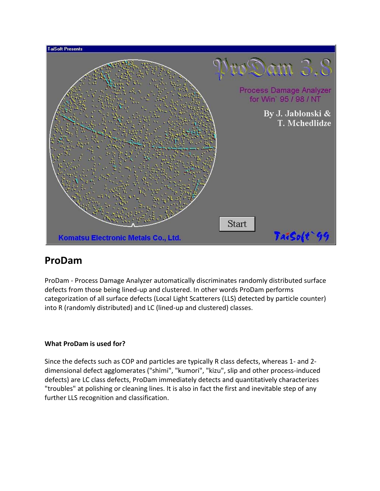

# **ProDam**

ProDam - Process Damage Analyzer automatically discriminates randomly distributed surface defects from those being lined-up and clustered. In other words ProDam performs categorization of all surface defects (Local Light Scatterers (LLS) detected by particle counter) into R (randomly distributed) and LC (lined-up and clustered) classes.

# **What ProDam is used for?**

Since the defects such as COP and particles are typically R class defects, whereas 1- and 2 dimensional defect agglomerates ("shimi", "kumori", "kizu", slip and other process-induced defects) are LC class defects, ProDam immediately detects and quantitatively characterizes "troubles" at polishing or cleaning lines. It is also in fact the first and inevitable step of any further LLS recognition and classification.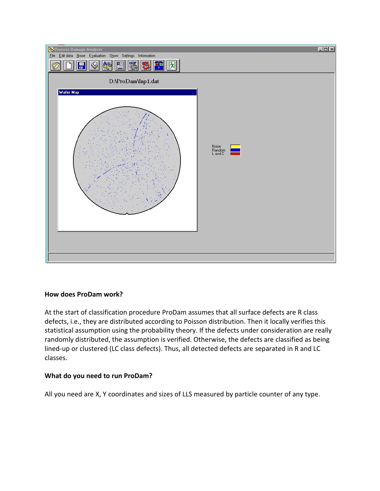

# **How does ProDam work?**

At the start of classification procedure ProDam assumes that all surface defects are R class defects, i.e., they are distributed according to Poisson distribution. Then it locally verifies this statistical assumption using the probability theory. If the defects under consideration are really randomly distributed, the assumption is verified. Otherwise, the defects are classified as being lined-up or clustered (LC class defects). Thus, all detected defects are separated in R and LC classes.

# **What do you need to run ProDam?**

All you need are X, Y coordinates and sizes of LLS measured by particle counter of any type.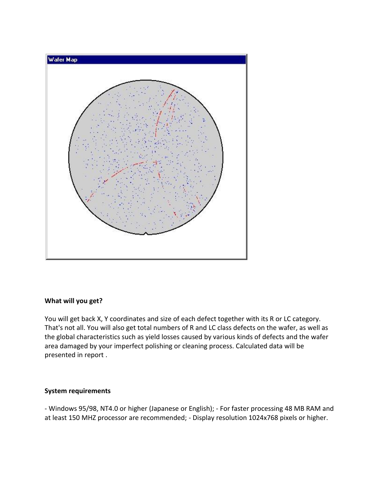

### **What will you get?**

You will get back X, Y coordinates and size of each defect together with its R or LC category. That's not all. You will also get total numbers of R and LC class defects on the wafer, as well as the global characteristics such as yield losses caused by various kinds of defects and the wafer area damaged by your imperfect polishing or cleaning process. Calculated data will be presented in report .

### **System requirements**

- Windows 95/98, NT4.0 or higher (Japanese or English); - For faster processing 48 MB RAM and at least 150 MHZ processor are recommended; - Display resolution 1024x768 pixels or higher.